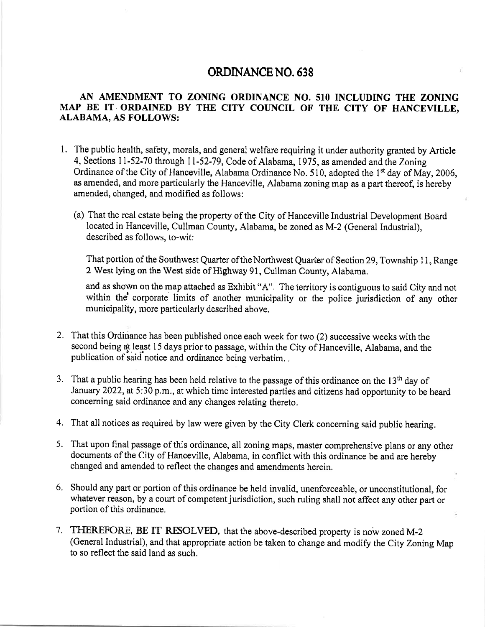## ORDINANCENO.638

## AN AMENDMENT TO ZONING ORDINANCE NO. 510 INCLUDING THE ZONING MAP BE IT ORDAINED BY THE CITY COUNCIL OF THE CITY OF HANCEVILLE, ALABAMA, AS FOLLOWS:

- l. The public health, safety, morals, and general welfare requiring it under authority granted by Article 4, Sections 11-52-70 through 11-52-79, Code of Alabama, 1975, as amended and the Zoning Ordinance of the City of Hanceville, Alabama Ordinance No. 510, adopted the 1<sup>st</sup> day of May, 2006, as amended, and more particularly the Hanceville, Alabama zoning map as a part thereof, is hereby amended, changed, and modified as follows:
	- (a) That the real estate being the property of the City of Hanceville Industrial Development Board located in Hanceville, Cullman County, Alabama, be zoned as M-2 (General Industrial), described as follows, to-wit:

That portion of the Southwest Quarter of the Northwest Quarter of Section 29, Township 11, Range 2 West lying on the West side of I{ighway 9i, Cullman County, Alabama.

and as shown on the map attached as Exhibit "A". The territory is contiguous to said City and not within the corporate limits of another municipality or the police jurisdiction of any other municipality, more particularly described above.

- 2. That this Ordinance has been published once each week for two (2) successive weeks with the second being dt least l5 days prior to passage, within the City of Hanceville, Alabama, and the publication of said notice and ordinance being verbatim. ,
- 3. That a public hearing has been held relative to the passage of this ordinance on the 13<sup>th</sup> day of January 2022, at 5:30 p.m., at which time interested parties and citizens had opportunity to be heard concerning said ordinance and any changes relating thereto.
- That all notices as required by law were given by the City Clerk concerning said public hearing. 4.
- That upon final passage of this ordinance, all zoning maps, master comprehensive plans or any other s documents of the City of Hanceville, Alabama, in conflict with this ordinance be and are hereby changed and amended to reflect the changes and amendments herein.
- Should any part or portion of this ordinance be held invalid, unenforceable, or unconstitutional, for 6. whatever reason, by a court of competent jurisdiction, such ruling shall not affect any other part or portion of this ordinance.
- 7. THEREFORE, BE IT RESOLVED, that the above-described property is now zoned M-2 (General Industrial), and that appropriate action be taken to change and modify the City Zoning Map to so reflect the said land as such.